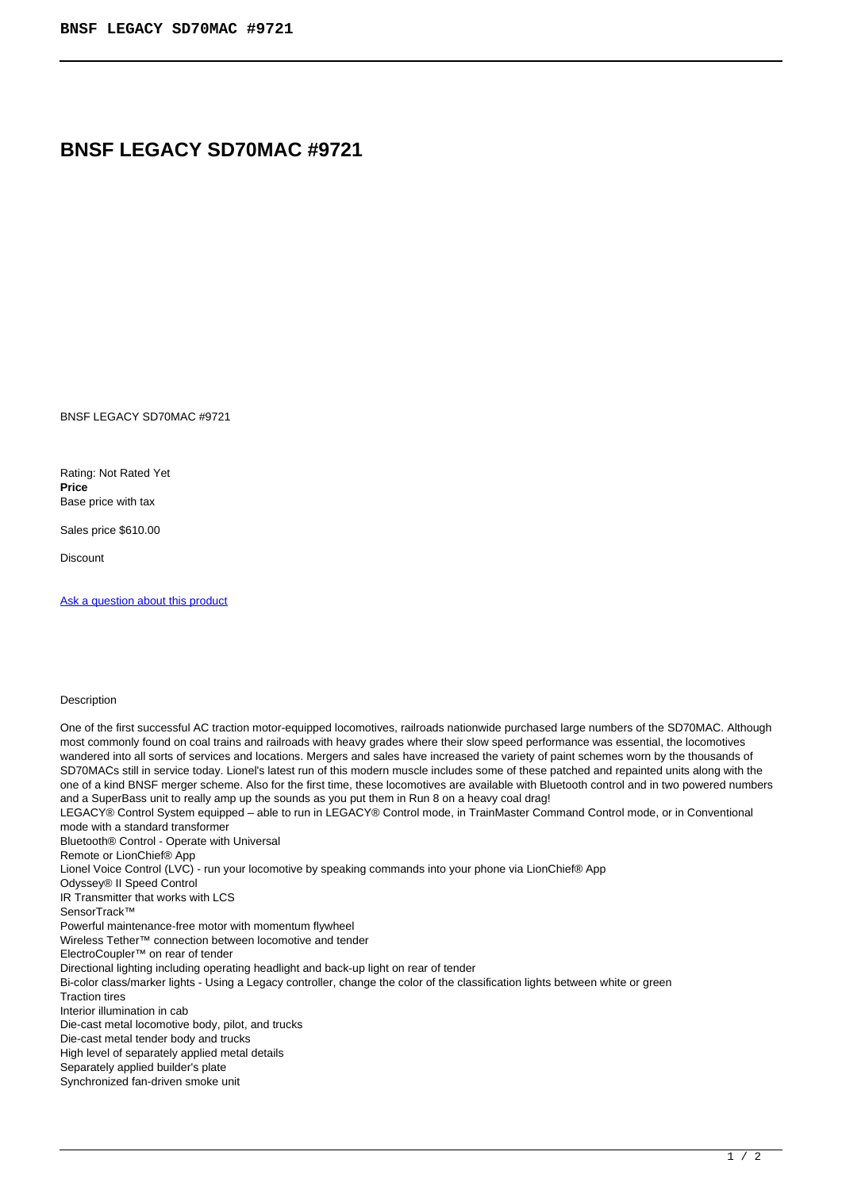## **BNSF LEGACY SD70MAC #9721**

BNSF LEGACY SD70MAC #9721

Rating: Not Rated Yet **Price**  Base price with tax

Sales price \$610.00

**Discount** 

Ask a question about this product

## **Description**

One of the first successful AC traction motor-equipped locomotives, railroads nationwide purchased large numbers of the SD70MAC. Although most commonly found on coal trains and railroads with heavy grades where their slow speed performance was essential, the locomotives wandered into all sorts of services and locations. Mergers and sales have increased the variety of paint schemes worn by the thousands of SD70MACs still in service today. Lionel's latest run of this modern muscle includes some of these patched and repainted units along with the one of a kind BNSF merger scheme. Also for the first time, these locomotives are available with Bluetooth control and in two powered numbers and a SuperBass unit to really amp up the sounds as you put them in Run 8 on a heavy coal drag! LEGACY® Control System equipped – able to run in LEGACY® Control mode, in TrainMaster Command Control mode, or in Conventional mode with a standard transformer Bluetooth® Control - Operate with Universal Remote or LionChief® App Lionel Voice Control (LVC) - run your locomotive by speaking commands into your phone via LionChief® App Odyssey® II Speed Control IR Transmitter that works with LCS SensorTrack™ Powerful maintenance-free motor with momentum flywheel Wireless Tether™ connection between locomotive and tender ElectroCoupler™ on rear of tender Directional lighting including operating headlight and back-up light on rear of tender Bi-color class/marker lights - Using a Legacy controller, change the color of the classification lights between white or green Traction tires Interior illumination in cab Die-cast metal locomotive body, pilot, and trucks Die-cast metal tender body and trucks High level of separately applied metal details Separately applied builder's plate Synchronized fan-driven smoke unit